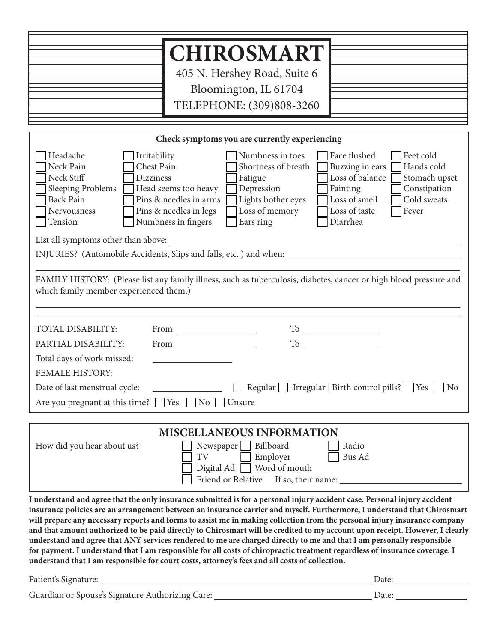| <b>CHIROSMART</b><br>405 N. Hershey Road, Suite 6<br>Bloomington, IL 61704<br>TELEPHONE: (309)808-3260 |
|--------------------------------------------------------------------------------------------------------|
|--------------------------------------------------------------------------------------------------------|

Þ

| Check symptoms you are currently experiencing                                                                                                                                                                                                                                                                                                                                                                                                                                                                                                                                            |  |  |  |  |
|------------------------------------------------------------------------------------------------------------------------------------------------------------------------------------------------------------------------------------------------------------------------------------------------------------------------------------------------------------------------------------------------------------------------------------------------------------------------------------------------------------------------------------------------------------------------------------------|--|--|--|--|
| Headache<br>Numbness in toes<br>Face flushed<br>Feet cold<br>Irritability<br>Neck Pain<br>Chest Pain<br>Shortness of breath<br>Buzzing in ears<br>Hands cold<br>Loss of balance<br>Neck Stiff<br><b>Dizziness</b><br>Stomach upset<br>Fatigue<br>Sleeping Problems<br>Head seems too heavy<br>Depression<br>Fainting<br>Constipation<br>Loss of smell<br><b>Back Pain</b><br>Pins & needles in arms<br>Lights bother eyes<br>Cold sweats<br>Pins & needles in legs<br>Loss of memory<br>Nervousness<br>Loss of taste<br>Fever<br>Numbness in fingers<br>Diarrhea<br>Tension<br>Ears ring |  |  |  |  |
|                                                                                                                                                                                                                                                                                                                                                                                                                                                                                                                                                                                          |  |  |  |  |
|                                                                                                                                                                                                                                                                                                                                                                                                                                                                                                                                                                                          |  |  |  |  |
| FAMILY HISTORY: (Please list any family illness, such as tuberculosis, diabetes, cancer or high blood pressure and<br>which family member experienced them.)                                                                                                                                                                                                                                                                                                                                                                                                                             |  |  |  |  |
| <b>TOTAL DISABILITY:</b>                                                                                                                                                                                                                                                                                                                                                                                                                                                                                                                                                                 |  |  |  |  |
| PARTIAL DISABILITY:                                                                                                                                                                                                                                                                                                                                                                                                                                                                                                                                                                      |  |  |  |  |
| Total days of work missed:<br><b>FEMALE HISTORY:</b>                                                                                                                                                                                                                                                                                                                                                                                                                                                                                                                                     |  |  |  |  |
| Regular $\Box$ Irregular   Birth control pills? $\Box$ Yes $\Box$ No<br>Date of last menstrual cycle:                                                                                                                                                                                                                                                                                                                                                                                                                                                                                    |  |  |  |  |
| Are you pregnant at this time? $\Box$ Yes $\Box$ No $\Box$ Unsure                                                                                                                                                                                                                                                                                                                                                                                                                                                                                                                        |  |  |  |  |
|                                                                                                                                                                                                                                                                                                                                                                                                                                                                                                                                                                                          |  |  |  |  |
| <b>MISCELLANEOUS INFORMATION</b><br>Billboard<br>Radio<br>How did you hear about us?<br>Newspaper $\Box$<br>Employer<br><b>Bus Ad</b><br>TV<br>Word of mouth<br>Digital Ad                                                                                                                                                                                                                                                                                                                                                                                                               |  |  |  |  |

**I understand and agree that the only insurance submitted is for a personal injury accident case. Personal injury accident insurance policies are an arrangement between an insurance carrier and myself. Furthermore, I understand that Chirosmart will prepare any necessary reports and forms to assist me in making collection from the personal injury insurance company and that amount authorized to be paid directly to Chirosmart will be credited to my account upon receipt. However, I clearly understand and agree that ANY services rendered to me are charged directly to me and that I am personally responsible for payment. I understand that I am responsible for all costs of chiropractic treatment regardless of insurance coverage. I understand that I am responsible for court costs, attorney's fees and all costs of collection.** 

**If so, their name:** If so, their name:

Friend or Relative

| Patient's Signature:                             | Date <sup>.</sup> |
|--------------------------------------------------|-------------------|
| Guardian or Spouse's Signature Authorizing Care: | Date <sup>.</sup> |